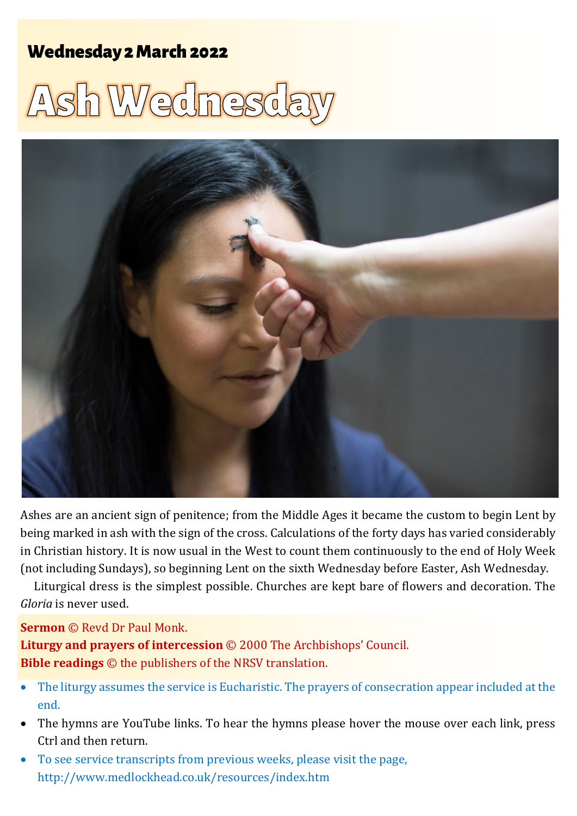## Wednesday 2 March 2022 1 **Ash Wednesday** Wednesday 2 March 2022

# Ash Wednesda



Ashes are an ancient sign of penitence; from the Middle Ages it became the custom to begin Lent by being marked in ash with the sign of the cross. Calculations of the forty days has varied considerably in Christian history. It is now usual in the West to count them continuously to the end of Holy Week (not including Sundays), so beginning Lent on the sixth Wednesday before Easter, Ash Wednesday.

Liturgical dress is the simplest possible. Churches are kept bare of flowers and decoration. The *Gloria* is never used.

#### **Sermon** © Revd Dr Paul Monk.

**Liturgy and prayers of intercession** © 2000 The Archbishops' Council. **Bible readings** © the publishers of the NRSV translation.

- The liturgy assumes the service is Eucharistic. The prayers of consecration appear included at the end.
- The hymns are YouTube links. To hear the hymns please hover the mouse over each link, press Ctrl and then return.
- To see service transcripts from previous weeks, please visit the page, <http://www.medlockhead.co.uk/resources/index.htm>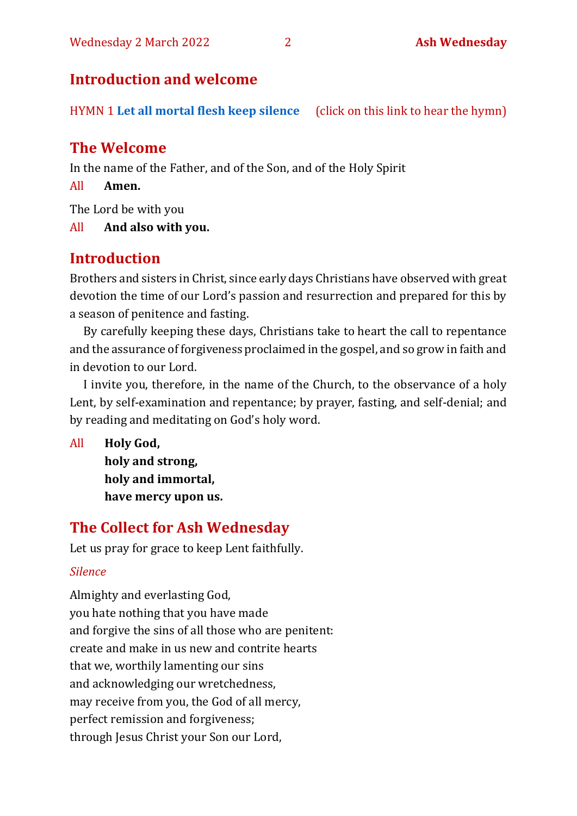## **Introduction and welcome**

HYMN 1 **[Let all mortal flesh keep silence](https://www.youtube.com/watch?v=e2MwVZyHJdo)** (click on this link to hear the hymn)

## **The Welcome**

In the name of the Father, and of the Son, and of the Holy Spirit

All **Amen.**

The Lord be with you

All **And also with you.**

## **Introduction**

Brothers and sisters in Christ, since early days Christians have observed with great devotion the time of our Lord's passion and resurrection and prepared for this by a season of penitence and fasting.

By carefully keeping these days, Christians take to heart the call to repentance and the assurance of forgiveness proclaimed in the gospel, and so grow in faith and in devotion to our Lord.

I invite you, therefore, in the name of the Church, to the observance of a holy Lent, by self-examination and repentance; by prayer, fasting, and self-denial; and by reading and meditating on God's holy word.

All **Holy God, holy and strong, holy and immortal, have mercy upon us.**

## **The Collect for Ash Wednesday**

Let us pray for grace to keep Lent faithfully.

#### *Silence*

Almighty and everlasting God, you hate nothing that you have made and forgive the sins of all those who are penitent: create and make in us new and contrite hearts that we, worthily lamenting our sins and acknowledging our wretchedness, may receive from you, the God of all mercy, perfect remission and forgiveness; through Jesus Christ your Son our Lord,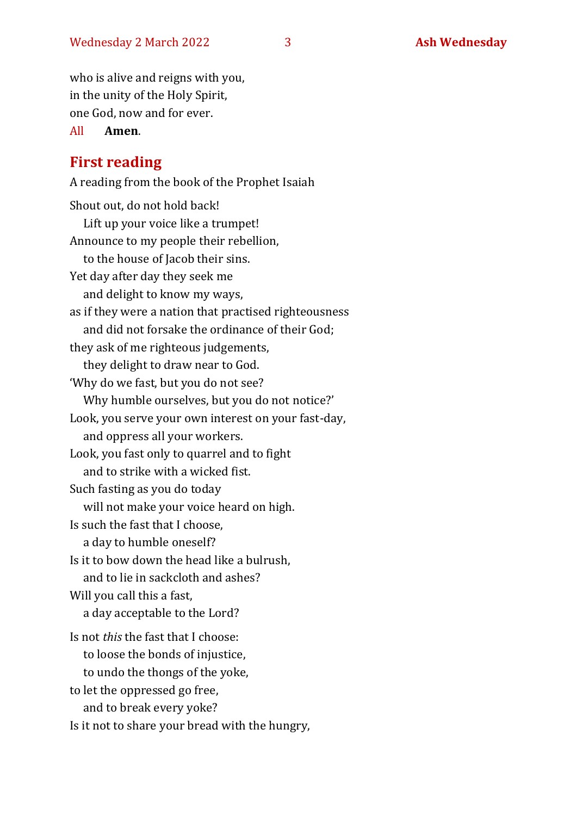who is alive and reigns with you, in the unity of the Holy Spirit, one God, now and for ever.

All **Amen**.

## **First reading**

A reading from the book of the Prophet Isaiah Shout out, do not hold back! Lift up your voice like a trumpet! Announce to my people their rebellion, to the house of Jacob their sins. Yet day after day they seek me and delight to know my ways, as if they were a nation that practised righteousness and did not forsake the ordinance of their God; they ask of me righteous judgements, they delight to draw near to God. 'Why do we fast, but you do not see? Why humble ourselves, but you do not notice?' Look, you serve your own interest on your fast-day, and oppress all your workers. Look, you fast only to quarrel and to fight and to strike with a wicked fist. Such fasting as you do today will not make your voice heard on high. Is such the fast that I choose, a day to humble oneself? Is it to bow down the head like a bulrush, and to lie in sackcloth and ashes? Will you call this a fast, a day acceptable to the Lord? Is not *this* the fast that I choose: to loose the bonds of injustice, to undo the thongs of the yoke, to let the oppressed go free, and to break every yoke? Is it not to share your bread with the hungry,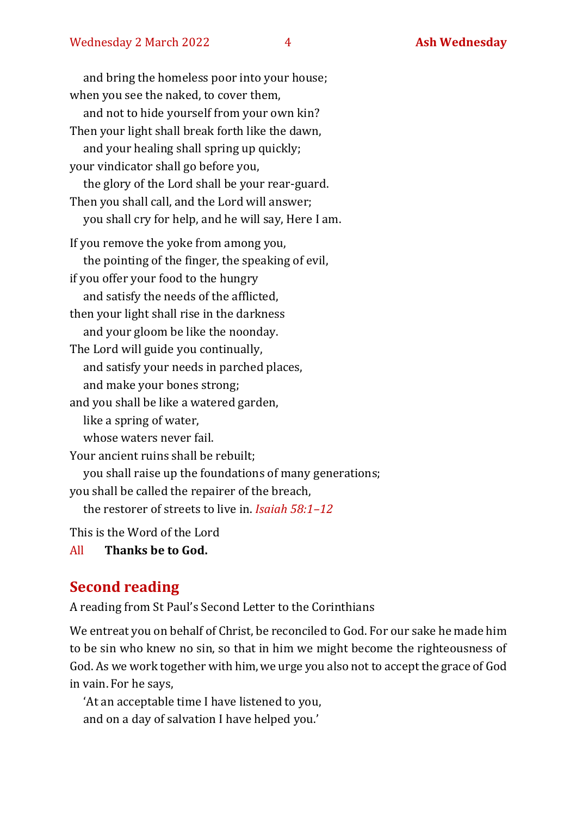and bring the homeless poor into your house; when you see the naked, to cover them, and not to hide yourself from your own kin? Then your light shall break forth like the dawn, and your healing shall spring up quickly; your vindicator shall go before you, the glory of the Lord shall be your rear-guard. Then you shall call, and the Lord will answer; you shall cry for help, and he will say, Here I am. If you remove the yoke from among you, the pointing of the finger, the speaking of evil, if you offer your food to the hungry and satisfy the needs of the afflicted, then your light shall rise in the darkness and your gloom be like the noonday. The Lord will guide you continually, and satisfy your needs in parched places, and make your bones strong; and you shall be like a watered garden, like a spring of water, whose waters never fail. Your ancient ruins shall be rebuilt; you shall raise up the foundations of many generations; you shall be called the repairer of the breach, the restorer of streets to live in. *Isaiah 58:1–12* This is the Word of the Lord

All **Thanks be to God.**

## **Second reading**

A reading from St Paul's Second Letter to the Corinthians

We entreat you on behalf of Christ, be reconciled to God. For our sake he made him to be sin who knew no sin, so that in him we might become the righteousness of God. As we work together with him,we urge you also not to accept the grace of God in vain. For he says,

'At an acceptable time I have listened to you, and on a day of salvation I have helped you.'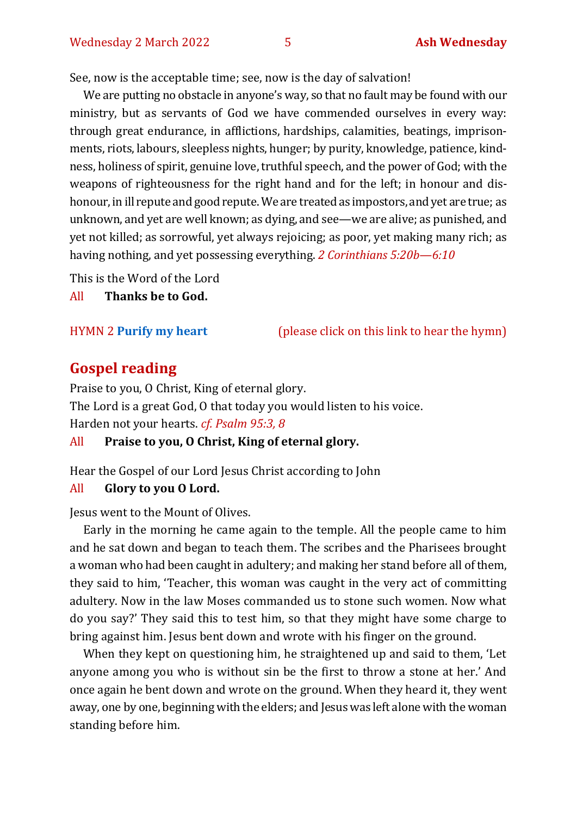See, now is the acceptable time; see, now is the day of salvation!

We are putting no obstacle in anyone's way, so that no fault may be found with our ministry, but as servants of God we have commended ourselves in every way: through great endurance, in afflictions, hardships, calamities, beatings, imprisonments, riots, labours, sleepless nights, hunger; by purity, knowledge, patience, kindness, holiness of spirit, genuine love, truthful speech, and the power of God; with the weapons of righteousness for the right hand and for the left; in honour and dishonour, in ill repute and good repute. We are treated as impostors, and yet are true; as unknown, and yet are well known; as dying, and see—we are alive; as punished, and yet not killed; as sorrowful, yet always rejoicing; as poor, yet making many rich; as having nothing, and yet possessing everything. *2 Corinthians 5:20b—6:10* 

This is the Word of the Lord

All **Thanks be to God.**

HYMN 2 **[Purify my heart](https://www.youtube.com/watch?v=0IvXA0yRDwY)** (please click on this link to hear the hymn)

#### **Gospel reading**

Praise to you, O Christ, King of eternal glory. The Lord is a great God, O that today you would listen to his voice. Harden not your hearts. *cf. Psalm 95:3, 8*

All **Praise to you, O Christ, King of eternal glory.**

Hear the Gospel of our Lord Jesus Christ according to John

#### All **Glory to you O Lord.**

Jesus went to the Mount of Olives.

Early in the morning he came again to the temple. All the people came to him and he sat down and began to teach them. The scribes and the Pharisees brought a woman who had been caught in adultery; and making her stand before all of them, they said to him, 'Teacher, this woman was caught in the very act of committing adultery. Now in the law Moses commanded us to stone such women. Now what do you say?' They said this to test him, so that they might have some charge to bring against him. Jesus bent down and wrote with his finger on the ground.

When they kept on questioning him, he straightened up and said to them, 'Let anyone among you who is without sin be the first to throw a stone at her.' And once again he bent down and wrote on the ground. When they heard it, they went away, one by one, beginning with the elders; and Jesus was left alone with the woman standing before him.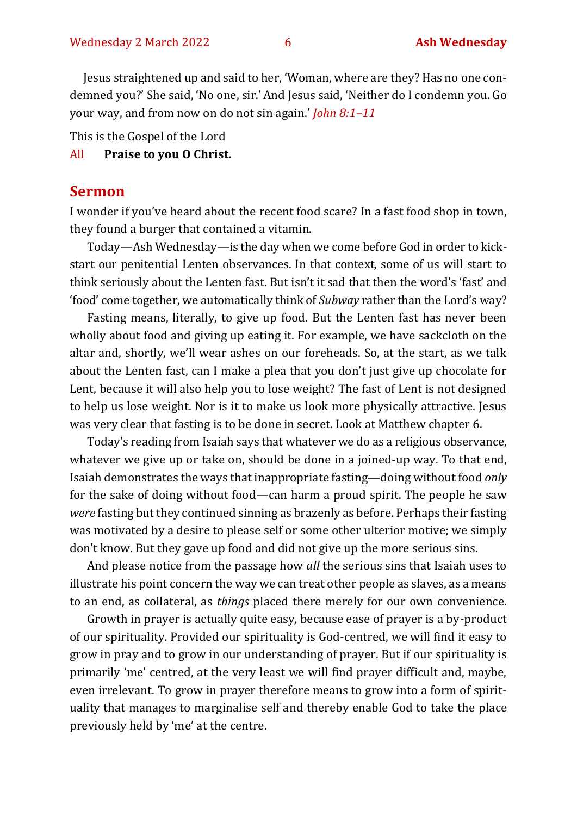Jesus straightened up and said to her, 'Woman, where are they? Has no one condemned you?' She said, 'No one, sir.'And Jesus said, 'Neither do I condemn you. Go your way, and from now on do not sin again.' *John 8:1–11*

This is the Gospel of the Lord

#### All **Praise to you O Christ.**

#### **Sermon**

I wonder if you've heard about the recent food scare? In a fast food shop in town, they found a burger that contained a vitamin.

Today—Ash Wednesday—is the day when we come before God in order to kickstart our penitential Lenten observances. In that context, some of us will start to think seriously about the Lenten fast. But isn't it sad that then the word's 'fast' and 'food' come together, we automatically think of *Subway* rather than the Lord's way?

Fasting means, literally, to give up food. But the Lenten fast has never been wholly about food and giving up eating it. For example, we have sackcloth on the altar and, shortly, we'll wear ashes on our foreheads. So, at the start, as we talk about the Lenten fast, can I make a plea that you don't just give up chocolate for Lent, because it will also help you to lose weight? The fast of Lent is not designed to help us lose weight. Nor is it to make us look more physically attractive. Jesus was very clear that fasting is to be done in secret. Look at Matthew chapter 6.

Today's reading from Isaiah says that whatever we do as a religious observance, whatever we give up or take on, should be done in a joined-up way. To that end, Isaiah demonstrates the ways that inappropriate fasting—doing without food *only* for the sake of doing without food—can harm a proud spirit. The people he saw *were* fasting but they continued sinning as brazenly as before. Perhaps their fasting was motivated by a desire to please self or some other ulterior motive; we simply don't know. But they gave up food and did not give up the more serious sins.

And please notice from the passage how *all* the serious sins that Isaiah uses to illustrate his point concern the way we can treat other people as slaves, as a means to an end, as collateral, as *things* placed there merely for our own convenience.

Growth in prayer is actually quite easy, because ease of prayer is a by-product of our spirituality. Provided our spirituality is God-centred, we will find it easy to grow in pray and to grow in our understanding of prayer. But if our spirituality is primarily 'me' centred, at the very least we will find prayer difficult and, maybe, even irrelevant. To grow in prayer therefore means to grow into a form of spirituality that manages to marginalise self and thereby enable God to take the place previously held by 'me' at the centre.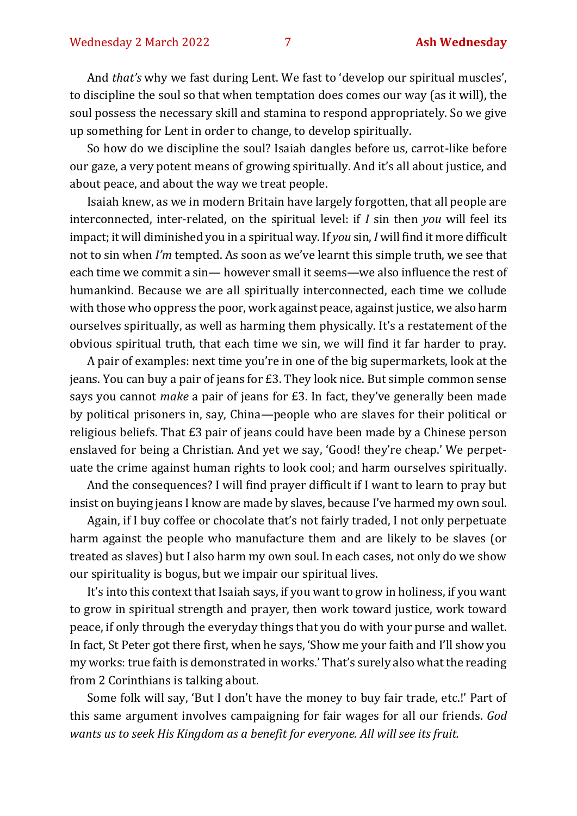And *that's* why we fast during Lent. We fast to 'develop our spiritual muscles', to discipline the soul so that when temptation does comes our way (as it will), the soul possess the necessary skill and stamina to respond appropriately. So we give up something for Lent in order to change, to develop spiritually.

So how do we discipline the soul? Isaiah dangles before us, carrot-like before our gaze, a very potent means of growing spiritually. And it's all about justice, and about peace, and about the way we treat people.

Isaiah knew, as we in modern Britain have largely forgotten, that all people are interconnected, inter-related, on the spiritual level: if *I* sin then *you* will feel its impact; it will diminished you in a spiritual way. If *you* sin, *I* will find it more difficult not to sin when *I'm* tempted. As soon as we've learnt this simple truth, we see that each time we commit a sin— however small it seems—we also influence the rest of humankind. Because we are all spiritually interconnected, each time we collude with those who oppress the poor, work against peace, against justice, we also harm ourselves spiritually, as well as harming them physically. It's a restatement of the obvious spiritual truth, that each time we sin, we will find it far harder to pray.

A pair of examples: next time you're in one of the big supermarkets, look at the jeans. You can buy a pair of jeans for £3. They look nice. But simple common sense says you cannot *make* a pair of jeans for £3. In fact, they've generally been made by political prisoners in, say, China—people who are slaves for their political or religious beliefs. That £3 pair of jeans could have been made by a Chinese person enslaved for being a Christian. And yet we say, 'Good! they're cheap.' We perpetuate the crime against human rights to look cool; and harm ourselves spiritually.

And the consequences? I will find prayer difficult if I want to learn to pray but insist on buying jeans I know are made by slaves, because I've harmed my own soul.

Again, if I buy coffee or chocolate that's not fairly traded, I not only perpetuate harm against the people who manufacture them and are likely to be slaves (or treated as slaves) but I also harm my own soul. In each cases, not only do we show our spirituality is bogus, but we impair our spiritual lives.

It's into this context that Isaiah says, if you want to grow in holiness, if you want to grow in spiritual strength and prayer, then work toward justice, work toward peace, if only through the everyday things that you do with your purse and wallet. In fact, St Peter got there first, when he says, 'Show me your faith and I'll show you my works: true faith is demonstrated in works.' That's surely also what the reading from 2 Corinthians is talking about.

Some folk will say, 'But I don't have the money to buy fair trade, etc.!' Part of this same argument involves campaigning for fair wages for all our friends. *God wants us to seek His Kingdom as a benefit for everyone. All will see its fruit.*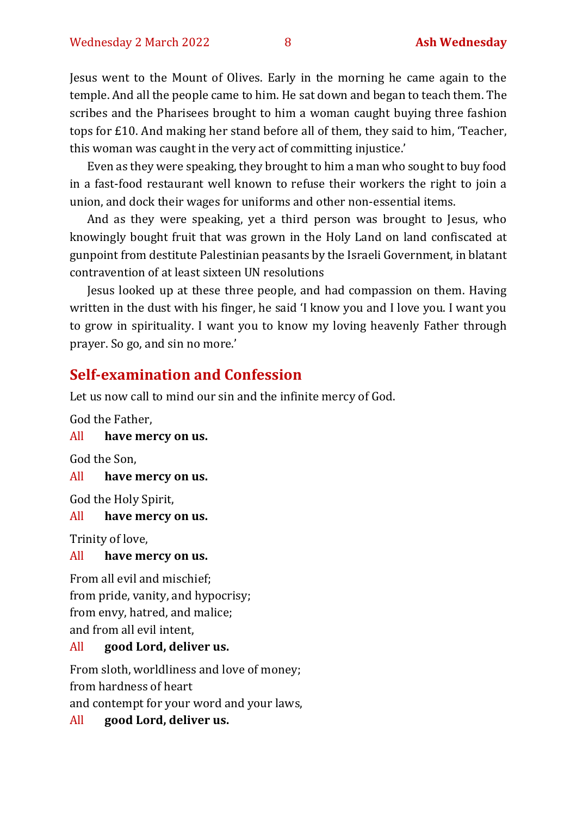Jesus went to the Mount of Olives. Early in the morning he came again to the temple. And all the people came to him. He sat down and began to teach them. The scribes and the Pharisees brought to him a woman caught buying three fashion tops for £10. And making her stand before all of them, they said to him, 'Teacher, this woman was caught in the very act of committing injustice.'

Even as they were speaking, they brought to him a man who sought to buy food in a fast-food restaurant well known to refuse their workers the right to join a union, and dock their wages for uniforms and other non-essential items.

And as they were speaking, yet a third person was brought to Jesus, who knowingly bought fruit that was grown in the Holy Land on land confiscated at gunpoint from destitute Palestinian peasants by the Israeli Government, in blatant contravention of at least sixteen UN resolutions

Jesus looked up at these three people, and had compassion on them. Having written in the dust with his finger, he said 'I know you and I love you. I want you to grow in spirituality. I want you to know my loving heavenly Father through prayer. So go, and sin no more.'

#### **Self-examination and Confession**

Let us now call to mind our sin and the infinite mercy of God.

God the Father,

All **have mercy on us.**

God the Son,

All **have mercy on us.**

God the Holy Spirit,

#### All **have mercy on us.**

Trinity of love,

#### All **have mercy on us.**

From all evil and mischief; from pride, vanity, and hypocrisy; from envy, hatred, and malice; and from all evil intent,

#### All **good Lord, deliver us.**

From sloth, worldliness and love of money; from hardness of heart

and contempt for your word and your laws,

All **good Lord, deliver us.**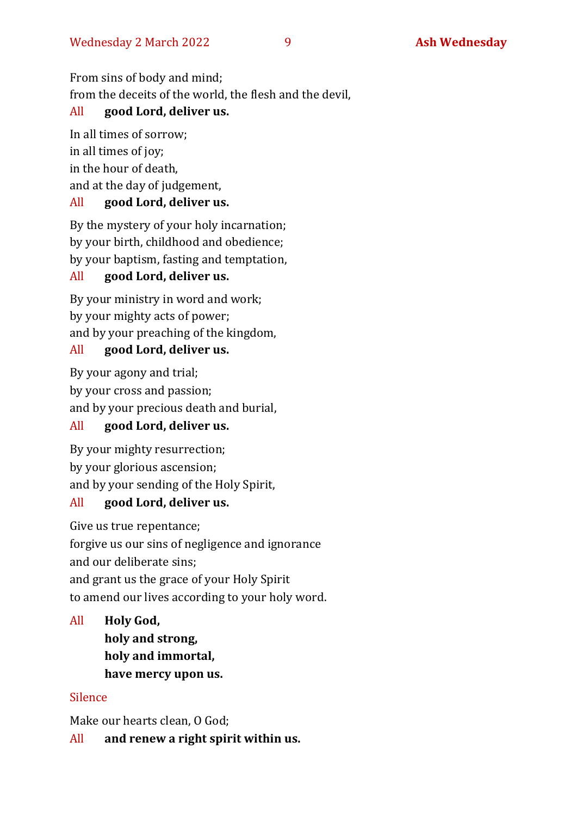From sins of body and mind;

from the deceits of the world, the flesh and the devil,

#### All **good Lord, deliver us.**

In all times of sorrow; in all times of joy; in the hour of death, and at the day of judgement, All **good Lord, deliver us.**

By the mystery of your holy incarnation; by your birth, childhood and obedience; by your baptism, fasting and temptation,

#### All **good Lord, deliver us.**

By your ministry in word and work; by your mighty acts of power; and by your preaching of the kingdom,

#### All **good Lord, deliver us.**

By your agony and trial; by your cross and passion; and by your precious death and burial,

#### All **good Lord, deliver us.**

By your mighty resurrection; by your glorious ascension; and by your sending of the Holy Spirit,

#### All **good Lord, deliver us.**

Give us true repentance;

forgive us our sins of negligence and ignorance and our deliberate sins; and grant us the grace of your Holy Spirit to amend our lives according to your holy word.

All **Holy God, holy and strong, holy and immortal, have mercy upon us.**

#### Silence

Make our hearts clean, O God;

All **and renew a right spirit within us.**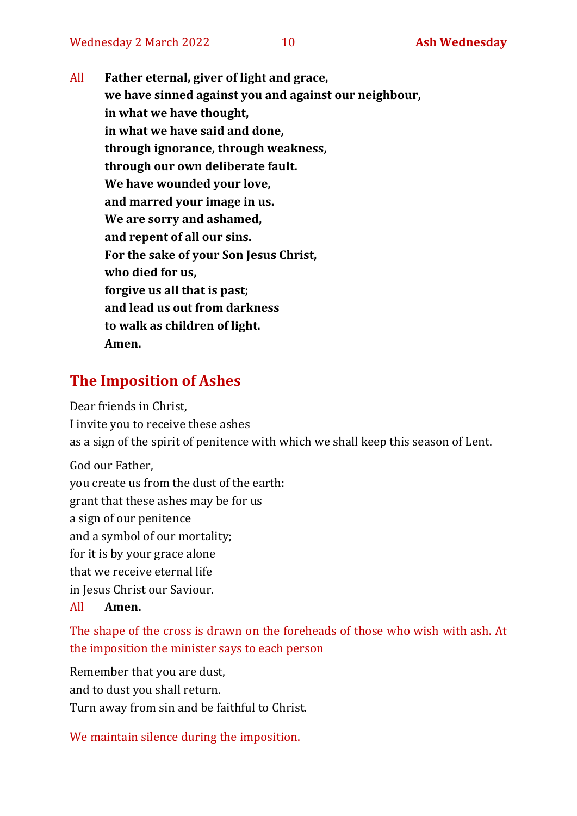All **Father eternal, giver of light and grace, we have sinned against you and against our neighbour, in what we have thought, in what we have said and done, through ignorance, through weakness, through our own deliberate fault. We have wounded your love, and marred your image in us. We are sorry and ashamed, and repent of all our sins. For the sake of your Son Jesus Christ, who died for us, forgive us all that is past; and lead us out from darkness to walk as children of light. Amen.**

## **The Imposition of Ashes**

Dear friends in Christ, I invite you to receive these ashes as a sign of the spirit of penitence with which we shall keep this season of Lent.

God our Father, you create us from the dust of the earth: grant that these ashes may be for us a sign of our penitence and a symbol of our mortality; for it is by your grace alone that we receive eternal life in Jesus Christ our Saviour.

#### All **Amen.**

The shape of the cross is drawn on the foreheads of those who wish with ash. At the imposition the minister says to each person

Remember that you are dust, and to dust you shall return. Turn away from sin and be faithful to Christ.

We maintain silence during the imposition.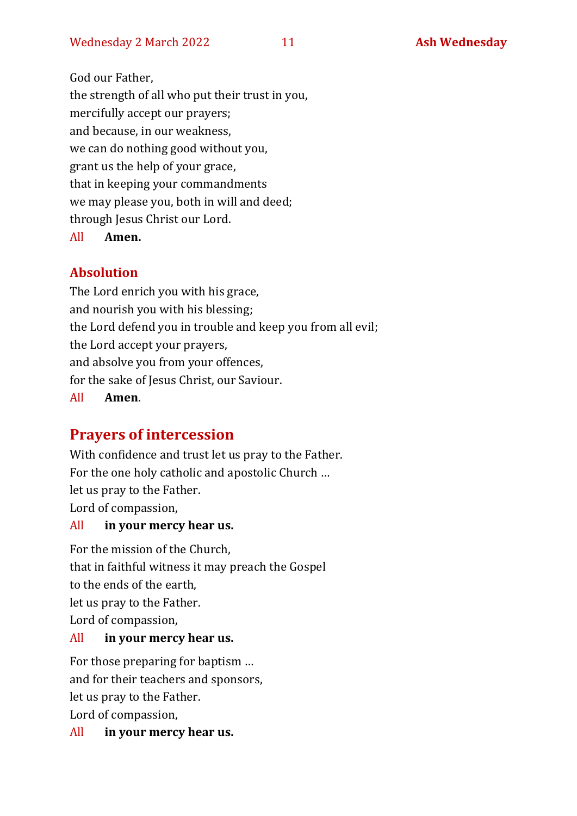God our Father, the strength of all who put their trust in you, mercifully accept our prayers; and because, in our weakness, we can do nothing good without you, grant us the help of your grace, that in keeping your commandments we may please you, both in will and deed; through Jesus Christ our Lord. All **Amen.**

#### **Absolution**

The Lord enrich you with his grace, and nourish you with his blessing; the Lord defend you in trouble and keep you from all evil; the Lord accept your prayers, and absolve you from your offences, for the sake of Jesus Christ, our Saviour. All **Amen**.

## **Prayers of intercession**

With confidence and trust let us pray to the Father. For the one holy catholic and apostolic Church … let us pray to the Father. Lord of compassion,

#### All **in your mercy hear us.**

For the mission of the Church, that in faithful witness it may preach the Gospel to the ends of the earth, let us pray to the Father. Lord of compassion,

#### All **in your mercy hear us.**

For those preparing for baptism … and for their teachers and sponsors, let us pray to the Father. Lord of compassion,

All **in your mercy hear us.**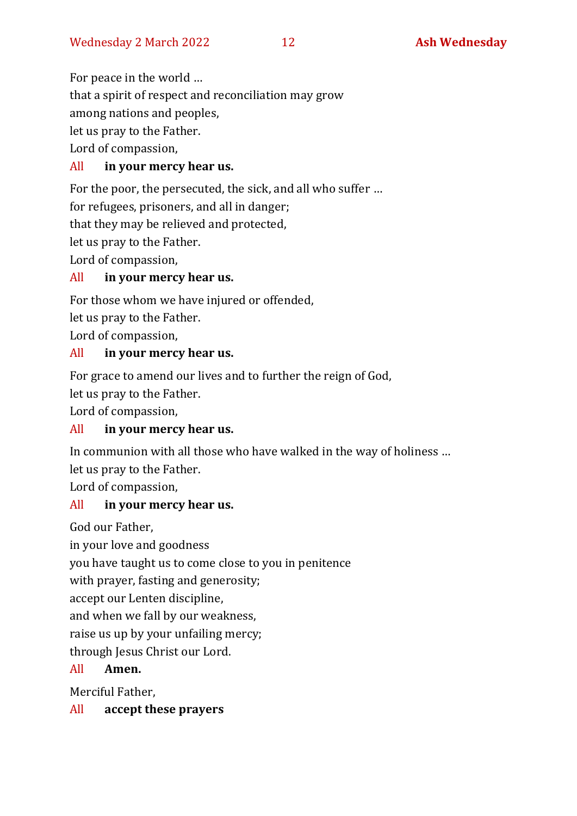For peace in the world …

that a spirit of respect and reconciliation may grow

among nations and peoples,

let us pray to the Father.

Lord of compassion,

## All **in your mercy hear us.**

For the poor, the persecuted, the sick, and all who suffer …

for refugees, prisoners, and all in danger;

that they may be relieved and protected,

let us pray to the Father.

Lord of compassion,

## All **in your mercy hear us.**

For those whom we have injured or offended, let us pray to the Father.

Lord of compassion,

## All **in your mercy hear us.**

For grace to amend our lives and to further the reign of God,

let us pray to the Father.

Lord of compassion,

## All **in your mercy hear us.**

In communion with all those who have walked in the way of holiness …

let us pray to the Father.

Lord of compassion,

## All **in your mercy hear us.**

God our Father,

in your love and goodness

you have taught us to come close to you in penitence

with prayer, fasting and generosity;

accept our Lenten discipline,

and when we fall by our weakness,

raise us up by your unfailing mercy;

through Jesus Christ our Lord.

## All **Amen.**

Merciful Father,

## All **accept these prayers**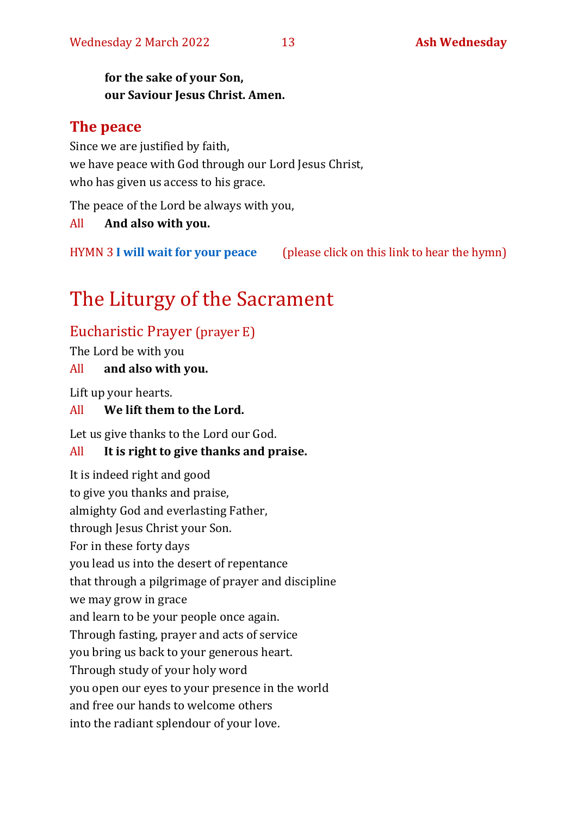#### **for the sake of your Son, our Saviour Jesus Christ. Amen.**

#### **The peace**

Since we are justified by faith, we have peace with God through our Lord Jesus Christ, who has given us access to his grace.

The peace of the Lord be always with you,

All **And also with you.**

HYMN 3 **[I will wait for your peace](https://youtu.be/eUwyOWTY8_Y)** (please click on this link to hear the hymn)

## The Liturgy of the Sacrament

## Eucharistic Prayer (prayer E)

The Lord be with you

#### All **and also with you.**

Lift up your hearts.

#### All **We lift them to the Lord.**

Let us give thanks to the Lord our God.

#### All **It is right to give thanks and praise.**

It is indeed right and good to give you thanks and praise, almighty God and everlasting Father, through Jesus Christ your Son. For in these forty days you lead us into the desert of repentance that through a pilgrimage of prayer and discipline we may grow in grace and learn to be your people once again. Through fasting, prayer and acts of service you bring us back to your generous heart. Through study of your holy word you open our eyes to your presence in the world and free our hands to welcome others into the radiant splendour of your love.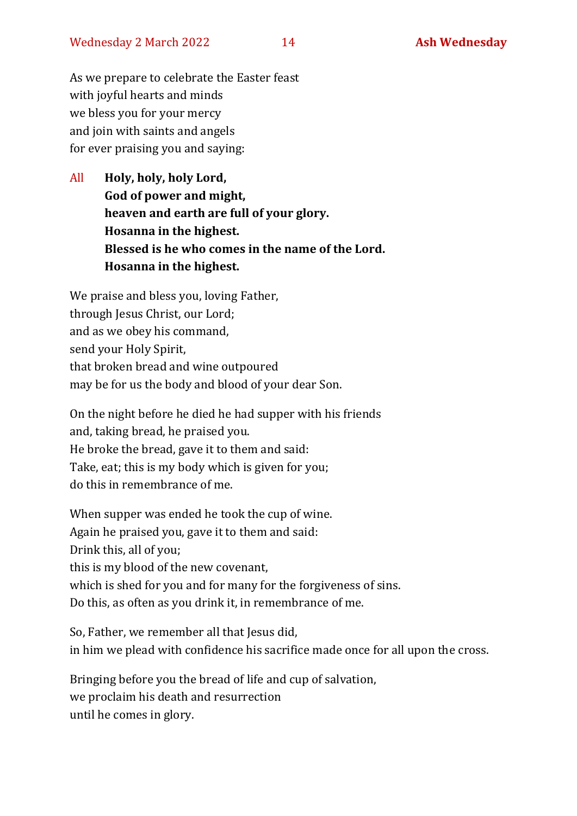As we prepare to celebrate the Easter feast with joyful hearts and minds we bless you for your mercy and join with saints and angels for ever praising you and saying:

All **Holy, holy, holy Lord, God of power and might, heaven and earth are full of your glory. Hosanna in the highest. Blessed is he who comes in the name of the Lord. Hosanna in the highest.**

We praise and bless you, loving Father, through Jesus Christ, our Lord; and as we obey his command, send your Holy Spirit, that broken bread and wine outpoured may be for us the body and blood of your dear Son.

On the night before he died he had supper with his friends and, taking bread, he praised you. He broke the bread, gave it to them and said: Take, eat; this is my body which is given for you; do this in remembrance of me.

When supper was ended he took the cup of wine. Again he praised you, gave it to them and said: Drink this, all of you; this is my blood of the new covenant, which is shed for you and for many for the forgiveness of sins. Do this, as often as you drink it, in remembrance of me.

So, Father, we remember all that Jesus did, in him we plead with confidence his sacrifice made once for all upon the cross.

Bringing before you the bread of life and cup of salvation, we proclaim his death and resurrection until he comes in glory.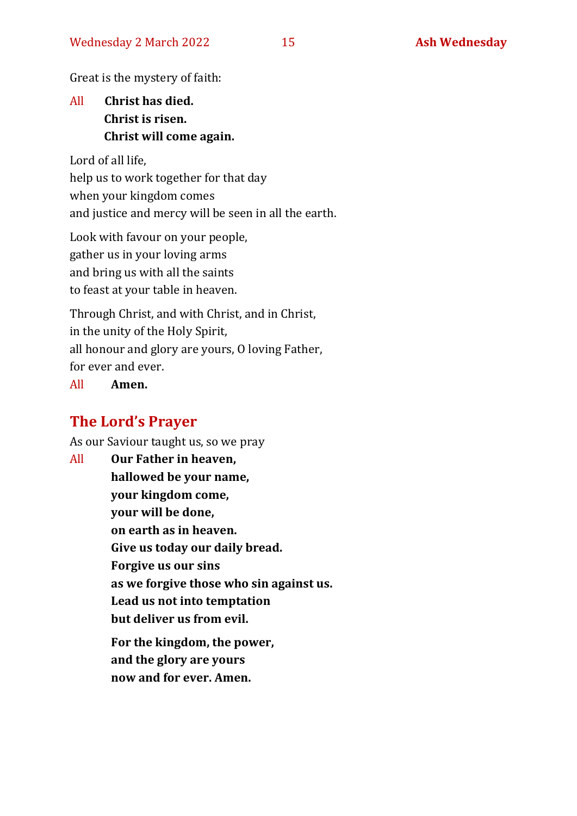Great is the mystery of faith:

## All **Christ has died. Christ is risen. Christ will come again.**

Lord of all life,

help us to work together for that day when your kingdom comes and justice and mercy will be seen in all the earth.

Look with favour on your people, gather us in your loving arms and bring us with all the saints to feast at your table in heaven.

Through Christ, and with Christ, and in Christ, in the unity of the Holy Spirit, all honour and glory are yours, O loving Father, for ever and ever.

All **Amen.**

## **The Lord's Prayer**

As our Saviour taught us, so we pray

All **Our Father in heaven, hallowed be your name, your kingdom come, your will be done, on earth as in heaven. Give us today our daily bread. Forgive us our sins as we forgive those who sin against us. Lead us not into temptation but deliver us from evil. For the kingdom, the power,** 

**and the glory are yours now and for ever. Amen.**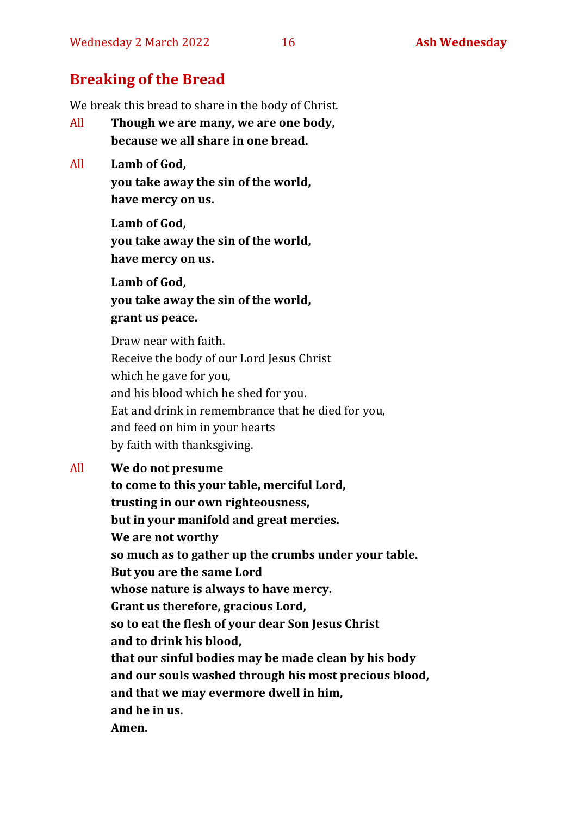## **Breaking of the Bread**

We break this bread to share in the body of Christ.

- All **Though we are many, we are one body, because we all share in one bread.**
- All **Lamb of God, you take away the sin of the world, have mercy on us.**

**Lamb of God, you take away the sin of the world, have mercy on us.**

**Lamb of God, you take away the sin of the world, grant us peace.**

Draw near with faith. Receive the body of our Lord Jesus Christ which he gave for you, and his blood which he shed for you. Eat and drink in remembrance that he died for you, and feed on him in your hearts by faith with thanksgiving.

#### All **We do not presume**

**to come to this your table, merciful Lord, trusting in our own righteousness, but in your manifold and great mercies. We are not worthy so much as to gather up the crumbs under your table. But you are the same Lord whose nature is always to have mercy. Grant us therefore, gracious Lord, so to eat the flesh of your dear Son Jesus Christ and to drink his blood, that our sinful bodies may be made clean by his body and our souls washed through his most precious blood, and that we may evermore dwell in him, and he in us. Amen.**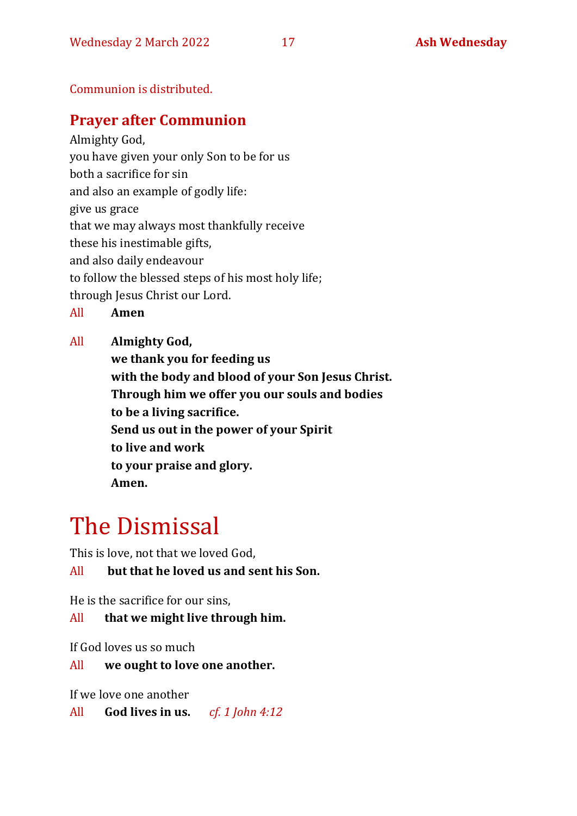Communion is distributed.

## **Prayer after Communion**

Almighty God, you have given your only Son to be for us both a sacrifice for sin and also an example of godly life: give us grace that we may always most thankfully receive these his inestimable gifts, and also daily endeavour to follow the blessed steps of his most holy life;

through Jesus Christ our Lord.

All **Amen**

All **Almighty God,**

**we thank you for feeding us with the body and blood of your Son Jesus Christ. Through him we offer you our souls and bodies to be a living sacrifice. Send us out in the power of your Spirit to live and work to your praise and glory. Amen.**

# The Dismissal

This is love, not that we loved God,

All **but that he loved us and sent his Son.**

He is the sacrifice for our sins,

All **that we might live through him.**

If God loves us so much

All **we ought to love one another.**

If we love one another

All **God lives in us.** *cf. 1 John 4:12*